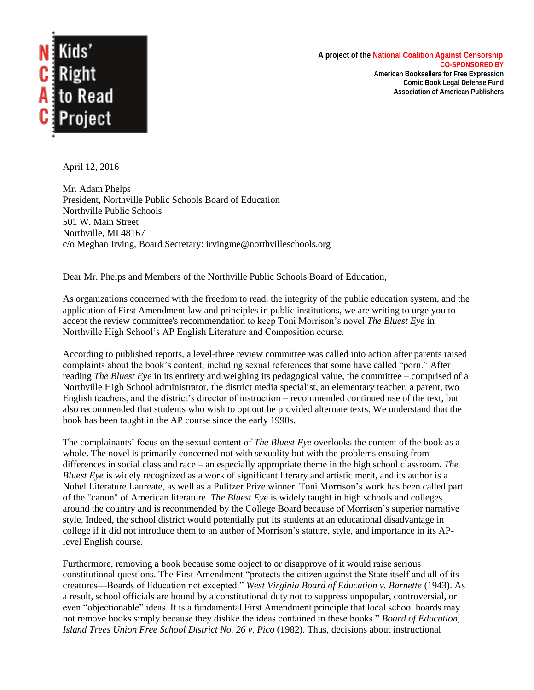

 **A project of the National Coalition Against Censorship CO-SPONSORED BY American Booksellers for Free Expression Comic Book Legal Defense Fund**

**Association of American Publishers**

April 12, 2016

Mr. Adam Phelps President, Northville Public Schools Board of Education Northville Public Schools 501 W. Main Street Northville, MI 48167 c/o Meghan Irving, Board Secretary: irvingme@northvilleschools.org

Dear Mr. Phelps and Members of the Northville Public Schools Board of Education,

As organizations concerned with the freedom to read, the integrity of the public education system, and the application of First Amendment law and principles in public institutions, we are writing to urge you to accept the review committee's recommendation to keep Toni Morrison's novel *The Bluest Eye* in Northville High School's AP English Literature and Composition course.

According to published reports, a level-three review committee was called into action after parents raised complaints about the book's content, including sexual references that some have called "porn." After reading *The Bluest Eye* in its entirety and weighing its pedagogical value, the committee – comprised of a Northville High School administrator, the district media specialist, an elementary teacher, a parent, two English teachers, and the district's director of instruction – recommended continued use of the text, but also recommended that students who wish to opt out be provided alternate texts. We understand that the book has been taught in the AP course since the early 1990s.

The complainants' focus on the sexual content of *The Bluest Eye* overlooks the content of the book as a whole. The novel is primarily concerned not with sexuality but with the problems ensuing from differences in social class and race – an especially appropriate theme in the high school classroom. *The Bluest Eye* is widely recognized as a work of significant literary and artistic merit, and its author is a Nobel Literature Laureate, as well as a Pulitzer Prize winner. Toni Morrison's work has been called part of the "canon" of American literature. *The Bluest Eye* is widely taught in high schools and colleges around the country and is recommended by the College Board because of Morrison's superior narrative style. Indeed, the school district would potentially put its students at an educational disadvantage in college if it did not introduce them to an author of Morrison's stature, style, and importance in its APlevel English course.

Furthermore, removing a book because some object to or disapprove of it would raise serious constitutional questions. The First Amendment "protects the citizen against the State itself and all of its creatures—Boards of Education not excepted." *West Virginia Board of Education v. Barnette* (1943). As a result, school officials are bound by a constitutional duty not to suppress unpopular, controversial, or even "objectionable" ideas. It is a fundamental First Amendment principle that local school boards may not remove books simply because they dislike the ideas contained in these books." *Board of Education, Island Trees Union Free School District No. 26 v. Pico* (1982). Thus, decisions about instructional